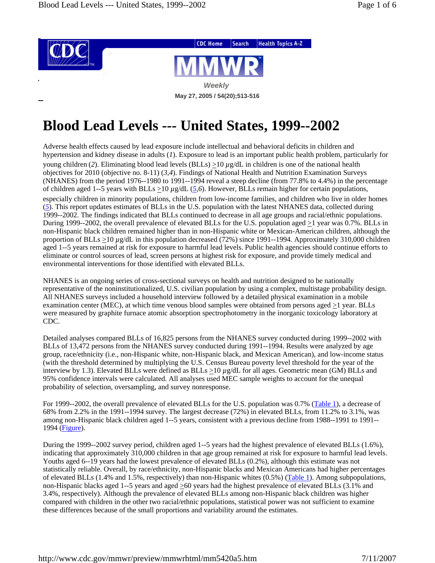

# **Blood Lead Levels --- United States, 1999--2002**

Adverse health effects caused by lead exposure include intellectual and behavioral deficits in children and hypertension and kidney disease in adults (*1*). Exposure to lead is an important public health problem, particularly for young children (*2*). Eliminating blood lead levels (BLLs) >10 *µ*g/dL in children is one of the national health objectives for 2010 (objective no. 8-11) (*3,4*). Findings of National Health and Nutrition Examination Surveys (NHANES) from the period 1976--1980 to 1991--1994 reveal a steep decline (from 77.8% to 4.4%) in the percentage of children aged 1--5 years with BLLs  $\geq$ 10  $\mu$ g/dL (5,6). However, BLLs remain higher for certain populations, especially children in minority populations, children from low-income families, and children who live in older homes (*5*). This report updates estimates of BLLs in the U.S. population with the latest NHANES data, collected during 1999--2002. The findings indicated that BLLs continued to decrease in all age groups and racial/ethnic populations. During 1999--2002, the overall prevalence of elevated BLLs for the U.S. population aged  $\geq 1$  year was 0.7%. BLLs in non-Hispanic black children remained higher than in non-Hispanic white or Mexican-American children, although the proportion of BLLs >10 *µ*g/dL in this population decreased (72%) since 1991--1994. Approximately 310,000 children aged 1--5 years remained at risk for exposure to harmful lead levels. Public health agencies should continue efforts to eliminate or control sources of lead, screen persons at highest risk for exposure, and provide timely medical and environmental interventions for those identified with elevated BLLs.

NHANES is an ongoing series of cross-sectional surveys on health and nutrition designed to be nationally representative of the noninstitutionalized, U.S. civilian population by using a complex, multistage probability design. All NHANES surveys included a household interview followed by a detailed physical examination in a mobile examination center (MEC), at which time venous blood samples were obtained from persons aged  $\geq$ 1 year. BLLs were measured by graphite furnace atomic absorption spectrophotometry in the inorganic toxicology laboratory at CDC.

Detailed analyses compared BLLs of 16,825 persons from the NHANES survey conducted during 1999--2002 with BLLs of 13,472 persons from the NHANES survey conducted during 1991--1994. Results were analyzed by age group, race/ethnicity (i.e., non-Hispanic white, non-Hispanic black, and Mexican American), and low-income status (with the threshold determined by multiplying the U.S. Census Bureau poverty level threshold for the year of the interview by 1.3). Elevated BLLs were defined as BLLs  $\geq 10 \mu g/dL$  for all ages. Geometric mean (GM) BLLs and 95% confidence intervals were calculated. All analyses used MEC sample weights to account for the unequal probability of selection, oversampling, and survey nonresponse.

For 1999--2002, the overall prevalence of elevated BLLs for the U.S. population was 0.7% (Table 1), a decrease of 68% from 2.2% in the 1991--1994 survey. The largest decrease (72%) in elevated BLLs, from 11.2% to 3.1%, was among non-Hispanic black children aged 1--5 years, consistent with a previous decline from 1988--1991 to 1991-- 1994 (Figure).

During the 1999--2002 survey period, children aged 1--5 years had the highest prevalence of elevated BLLs (1.6%), indicating that approximately 310,000 children in that age group remained at risk for exposure to harmful lead levels. Youths aged 6--19 years had the lowest prevalence of elevated BLLs (0.2%), although this estimate was not statistically reliable. Overall, by race/ethnicity, non-Hispanic blacks and Mexican Americans had higher percentages of elevated BLLs (1.4% and 1.5%, respectively) than non-Hispanic whites (0.5%) (Table 1). Among subpopulations, non-Hispanic blacks aged 1--5 years and aged >60 years had the highest prevalence of elevated BLLs (3.1% and 3.4%, respectively). Although the prevalence of elevated BLLs among non-Hispanic black children was higher compared with children in the other two racial/ethnic populations, statistical power was not sufficient to examine these differences because of the small proportions and variability around the estimates.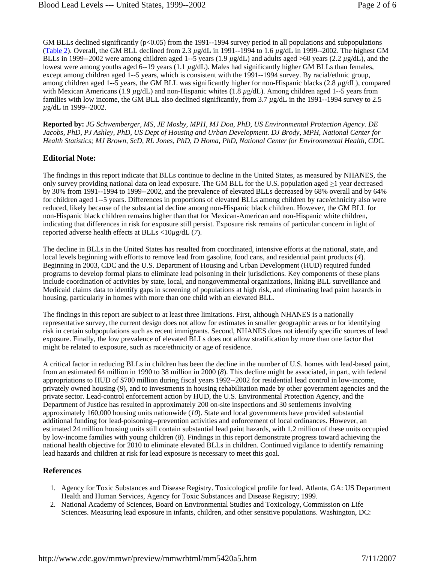GM BLLs declined significantly (p<0.05) from the 1991--1994 survey period in all populations and subpopulations (Table 2). Overall, the GM BLL declined from 2.3 *µ*g/dL in 1991--1994 to 1.6 *µ*g/dL in 1999--2002. The highest GM BLLs in 1999--2002 were among children aged 1--5 years  $(1.9 \mu g/dL)$  and adults aged  $\geq 60$  years  $(2.2 \mu g/dL)$ , and the lowest were among youths aged 6--19 years (1.1 *µ*g/dL). Males had significantly higher GM BLLs than females, except among children aged 1--5 years, which is consistent with the 1991--1994 survey. By racial/ethnic group, among children aged 1--5 years, the GM BLL was significantly higher for non-Hispanic blacks (2.8 *µ*g/dL), compared with Mexican Americans (1.9 *µ*g/dL) and non-Hispanic whites (1.8 *µ*g/dL). Among children aged 1--5 years from families with low income, the GM BLL also declined significantly, from 3.7 *µ*g/dL in the 1991--1994 survey to 2.5 *µ*g/dL in 1999--2002.

**Reported by:** *JG Schwemberger, MS, JE Mosby, MPH, MJ Doa, PhD, US Environmental Protection Agency. DE Jacobs, PhD, PJ Ashley, PhD, US Dept of Housing and Urban Development. DJ Brody, MPH, National Center for Health Statistics; MJ Brown, ScD, RL Jones, PhD, D Homa, PhD, National Center for Environmental Health, CDC.* 

## **Editorial Note:**

The findings in this report indicate that BLLs continue to decline in the United States, as measured by NHANES, the only survey providing national data on lead exposure. The GM BLL for the U.S. population aged >1 year decreased by 30% from 1991--1994 to 1999--2002, and the prevalence of elevated BLLs decreased by 68% overall and by 64% for children aged 1--5 years. Differences in proportions of elevated BLLs among children by race/ethnicity also were reduced, likely because of the substantial decline among non-Hispanic black children. However, the GM BLL for non-Hispanic black children remains higher than that for Mexican-American and non-Hispanic white children, indicating that differences in risk for exposure still persist. Exposure risk remains of particular concern in light of reported adverse health effects at BLLs <10*µ*g/dL (*7*).

The decline in BLLs in the United States has resulted from coordinated, intensive efforts at the national, state, and local levels beginning with efforts to remove lead from gasoline, food cans, and residential paint products (*4*). Beginning in 2003, CDC and the U.S. Department of Housing and Urban Development (HUD) required funded programs to develop formal plans to eliminate lead poisoning in their jurisdictions. Key components of these plans include coordination of activities by state, local, and nongovernmental organizations, linking BLL surveillance and Medicaid claims data to identify gaps in screening of populations at high risk, and eliminating lead paint hazards in housing, particularly in homes with more than one child with an elevated BLL.

The findings in this report are subject to at least three limitations. First, although NHANES is a nationally representative survey, the current design does not allow for estimates in smaller geographic areas or for identifying risk in certain subpopulations such as recent immigrants. Second, NHANES does not identify specific sources of lead exposure. Finally, the low prevalence of elevated BLLs does not allow stratification by more than one factor that might be related to exposure, such as race/ethnicity or age of residence.

A critical factor in reducing BLLs in children has been the decline in the number of U.S. homes with lead-based paint, from an estimated 64 million in 1990 to 38 million in 2000 (*8*). This decline might be associated, in part, with federal appropriations to HUD of \$700 million during fiscal years 1992--2002 for residential lead control in low-income, privately owned housing (*9*), and to investments in housing rehabilitation made by other government agencies and the private sector. Lead-control enforcement action by HUD, the U.S. Environmental Protection Agency, and the Department of Justice has resulted in approximately 200 on-site inspections and 30 settlements involving approximately 160,000 housing units nationwide (*10*). State and local governments have provided substantial additional funding for lead-poisoning--prevention activities and enforcement of local ordinances. However, an estimated 24 million housing units still contain substantial lead paint hazards, with 1.2 million of these units occupied by low-income families with young children (*8*). Findings in this report demonstrate progress toward achieving the national health objective for 2010 to eliminate elevated BLLs in children. Continued vigilance to identify remaining lead hazards and children at risk for lead exposure is necessary to meet this goal.

### **References**

- 1. Agency for Toxic Substances and Disease Registry. Toxicological profile for lead. Atlanta, GA: US Department Health and Human Services, Agency for Toxic Substances and Disease Registry; 1999.
- 2. National Academy of Sciences, Board on Environmental Studies and Toxicology, Commission on Life Sciences. Measuring lead exposure in infants, children, and other sensitive populations. Washington, DC: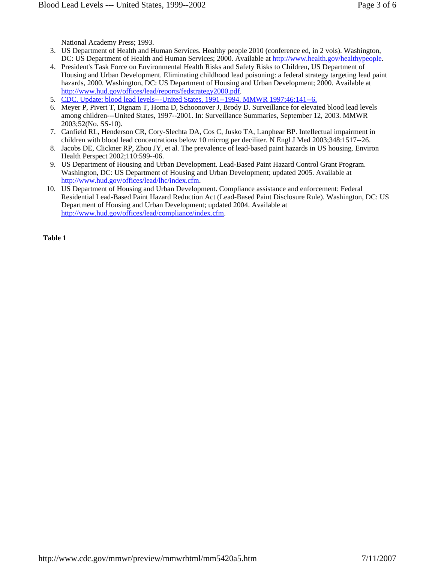National Academy Press; 1993.

- 3. US Department of Health and Human Services. Healthy people 2010 (conference ed, in 2 vols). Washington, DC: US Department of Health and Human Services; 2000. Available at http://www.health.gov/healthypeople.
- 4. President's Task Force on Environmental Health Risks and Safety Risks to Children, US Department of Housing and Urban Development. Eliminating childhood lead poisoning: a federal strategy targeting lead paint hazards, 2000. Washington, DC: US Department of Housing and Urban Development; 2000. Available at http://www.hud.gov/offices/lead/reports/fedstrategy2000.pdf.
- 5. CDC. Update: blood lead levels---United States, 1991--1994. MMWR 1997;46:141--6.
- 6. Meyer P, Pivert T, Dignam T, Homa D, Schoonover J, Brody D. Surveillance for elevated blood lead levels among children---United States, 1997--2001. In: Surveillance Summaries, September 12, 2003. MMWR 2003;52(No. SS-10).
- 7. Canfield RL, Henderson CR, Cory-Slechta DA, Cos C, Jusko TA, Lanphear BP. Intellectual impairment in children with blood lead concentrations below 10 microg per deciliter. N Engl J Med 2003;348:1517--26.
- 8. Jacobs DE, Clickner RP, Zhou JY, et al. The prevalence of lead-based paint hazards in US housing. Environ Health Perspect 2002;110:599--06.
- 9. US Department of Housing and Urban Development. Lead-Based Paint Hazard Control Grant Program. Washington, DC: US Department of Housing and Urban Development; updated 2005. Available at http://www.hud.gov/offices/lead/lhc/index.cfm.
- 10. US Department of Housing and Urban Development. Compliance assistance and enforcement: Federal Residential Lead-Based Paint Hazard Reduction Act (Lead-Based Paint Disclosure Rule). Washington, DC: US Department of Housing and Urban Development; updated 2004. Available at http://www.hud.gov/offices/lead/compliance/index.cfm.

**Table 1**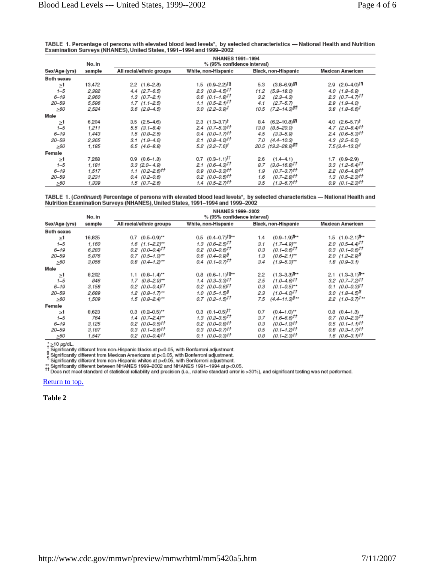| TABLE 1. Percentage of persons with elevated blood lead levels*, by selected characteristics — National Health and Nutrition |  |
|------------------------------------------------------------------------------------------------------------------------------|--|
| Examination Surveys (NHANES), United States, 1991-1994 and 1999-2002                                                         |  |

|               | No. in | <b>NHANES 1991-1994</b><br>% (95% confidence interval) |                                     |                                    |                                   |
|---------------|--------|--------------------------------------------------------|-------------------------------------|------------------------------------|-----------------------------------|
| Sex/Age (yrs) | sample | All racial/ethnic groups                               | White, non-Hispanic                 | Black, non-Hispanic                | Mexican American                  |
| Both sexes    |        |                                                        |                                     |                                    |                                   |
| $\geq$ 1      | 13,472 | $2.2$ (1.6-2.8)                                        | 1.5 $(0.9 - 2.2)^{19}$              | $(3.8 - 6.9)$ §1<br>5.3            | $2.9$ $(2.0-4.0)$ <sup>11</sup>   |
| $1 - 5$       | 2,392  | $4.4$ $(2.7-6.5)$                                      | $2.3$ (0.8–4.5) <sup>††</sup>       | 11.2<br>$(5.9 - 18.0)$             | $4.0$ $(1.8-6.9)$                 |
| $6 - 19$      | 2,960  | $1.3$ $(0.7-2.1)$                                      | $0.6$ $(0.1 - 1.8)$ <sup>tt</sup>   | $(2.3 - 4.3)$<br>3.2               | $2.3$ (0.7–4.71 <sup>††</sup>     |
| 20-59         | 5,596  | $1.7$ $(1.1 - 2.5)$                                    | 1.1 $(0.5-2.1)$ <sup>11</sup>       | $(2.7 - 5.7)$<br>4.1               | $2.9$ $(1.9-4.0)$                 |
| >60           | 2,524  | $3.6$ $(2.8-4.5)$                                      | $3.0$ $(2.2 - 3.9)^{\dagger}$       | 10.5<br>$(7.2 - 14.3)^{57}$        | $3.8$ $(1.8-6.6)^{\dagger}$       |
| Male          |        |                                                        |                                     |                                    |                                   |
| ≥1            | 6.204  | $3.5$ $(2.5-4.6)$                                      | $2.3$ $(1.3-3.7)^{\dagger}$         | $8.4$ $(6.2 - 10.8)$ <sup>§</sup>  | 4.0 $(2.6 - 5.7)^{\dagger}$       |
| $1 - 5$       | 1,211  | $5.5$ $(3.1 - 8.4)$                                    | $2.4$ (0.7-5.3) <sup>tt</sup>       | $(8.5 - 20.0)$<br>13.8             | $4.7$ $(2.0 - 8.4)$ <sup>tt</sup> |
| $6 - 19$      | 1,443  | $1.5(0.8-2.5)$                                         | $0.4$ (0.0-1.7) <sup>tt</sup>       | 4.5<br>$(3.3 - 5.9)$               | $2.4$ (0.6-5.3) <sup>††</sup>     |
| $20 - 59$     | 2,365  | $3.1(1.9-4.6)$                                         | $2.1 \quad (0.8-4.0)$ <sup>tt</sup> | $(4.4 - 10.3)$<br>7.0              | $4.3$ $(2.5-6.5)$                 |
| >60           | 1,185  | $6.5$ $(4.6-8.8)$                                      | $5.2$ $(3.2 - 7.6)^{\dagger}$       | 20.5 (13.2-28.9) \$1               | $7.5(3.4 - 13.0)^{\dagger}$       |
| Female        |        |                                                        |                                     |                                    |                                   |
| ≥1            | 7,268  | $0.9$ $(0.6-1.3)$                                      | $0.7$ $(0.3-1.1)$ <sup>tt</sup>     | 2.6<br>$(1.4 - 4.1)$               | $1.7$ $(0.9-2.9)$                 |
| $1 - 5$       | 1,181  | $3.3$ $(2.0 - 4.9)$                                    | $2.1 \quad (0.6-4.3)$ <sup>tt</sup> | $(3.0 - 16.8)^{11}$<br>8.7         | $3.3$ $(1.2 - 6.4)$ <sup>tt</sup> |
| $6 - 19$      | 1.517  | $1.1 \quad (0.2 - 2.6)$ <sup>tt</sup>                  | $0.9$ $(0.0-3.3)$ <sup>tt</sup>     | (0.7–3.7)††<br>1.9                 | $2.2$ (0.6-4.8) <sup>††</sup>     |
| 20-59         | 3,231  | $0.4$ $(0.2-0.6)$                                      | $0.2$ (0.0-0.5) <sup>††</sup>       | (0.7–2.8)††<br>1.6                 | $1.3$ $(0.5-2.3)$ <sup>tt</sup>   |
| >60           | 1,339  | $1.5$ $(0.7-2.6)$                                      | $1.4$ (0.5-2.71 <sup>††</sup>       | $(1.3 - 6.7)$ <sup>tt</sup><br>3.5 | $0.9$ $(0.1 - 2.3)$ <sup>tt</sup> |

TABLE 1. (*Continued*) Percentage of persons with elevated blood lead levels\*, by selected characteristics — National Health and<br>Nutrition Examination Surveys (NHANES), United States, 1991–1994 and 1999–2002

|               | No. in | <b>NHANES 1999-2002</b><br>% (95% confidence interval) |                                   |     |                                |                                              |
|---------------|--------|--------------------------------------------------------|-----------------------------------|-----|--------------------------------|----------------------------------------------|
| Sex/Age (yrs) | sample | All racial/ethnic groups                               | White, non-Hispanic               |     | Black, non-Hispanic            | Mexican American                             |
| Both sexes    |        |                                                        |                                   |     |                                |                                              |
| $\geq$ 1      | 16,825 | $0.7$ $(0.5-0.9)$ **                                   | $0.5$ $(0.4-0.7)$ <sup>t§**</sup> | 1.4 | $(0.9 - 1.9)$ <sup>11**</sup>  | 1.5 $(1.0-2.1)$ <sup>1</sup>                 |
| $1 - 5$       | 1,160  | $1.6$ $(1.1 - 2.2)$ **                                 | $1.3$ $(0.6-2.5)$ <sup>tt</sup>   | 3.1 | $(1.7 - 4.9)^{**}$             | $2.0$ (0.5-4.4) <sup>††</sup>                |
| $6 - 19$      | 6,283  | $0.2$ (0.0-0.4) <sup>††</sup>                          | $0.2$ (0.0-0.6) <sup>††</sup>     | 0.3 | $(0.1 - 0.6)^{tt}$             | $0.3$ $(0.1 - 0.6)$ <sup>tt</sup>            |
| 20-59         | 5,876  | $0.7$ $(0.5-1.0)$ **                                   | $0.6$ (0.4-0.9) <sup>§</sup>      | 1.3 | $(0.6 - 2.1)^{**}$             | $2.0(1.2-2.9)$                               |
| >60           | 3,056  | $0.8$ $(0.4-1.2)$ **                                   | $0.4$ (0.1-0.7 <sup>11</sup>      | 3.4 | $(1.9 - 5.3)^{**}$             | $1.8$ $(0.9-3.1)$                            |
| Male          |        |                                                        |                                   |     |                                |                                              |
| ≥1            | 8,202  | $1.1$ $(0.8-1.4)$ **                                   | $0.8$ $(0.6-1.1)$ <sup>t§**</sup> | 2.2 | $(1.3 - 3.3)$ <sup>1</sup>     | $2.1$ $(1.3-3.1)$ <sup>1</sup> <sup>++</sup> |
| $1 - 5$       | 846    | $1.7$ $(0.8-2.9)$ **                                   | $1.4$ (0.3-3.3) <sup>††</sup>     | 2.5 | $(1.0 - 4.6)$ <sup>tt</sup>    | $3.2$ (0.7-7.2) <sup>tt</sup>                |
| $6 - 19$      | 3,158  | $0.2$ (0.0-0.4) <sup>††</sup>                          | $0.2$ (0.0-0.6) <sup>††</sup>     | 0.3 | $(0.1 - 0.5)^{**}$             | $0.1$ (0.0-0.3) <sup>††</sup>                |
| $20 - 59$     | 2,689  | $1.2$ $(0.8-1.7)$ **                                   | $1.0$ (0.5-1.5) <sup>§</sup>      | 2.3 | $(1.0 - 4.0)^{tt}$             | 3.0 $(1.8-4.5)$ <sup>1</sup>                 |
| >60           | 1,509  | $1.5$ (0.8-2.4)**                                      | $0.7$ (0.2-1.5 <sup>11</sup> )    | 7.5 | $(4.4 - 11.3)^{\frac{6}{3}+1}$ | $2.2$ (1.0-3.7) <sup>†**</sup>               |
| Female        |        |                                                        |                                   |     |                                |                                              |
| $\geq$ 1      | 8,623  | $0.3$ $(0.2-0.5)$ **                                   | $0.3$ $(0.1 - 0.5)$ <sup>tt</sup> | 0.7 | $(0.4 - 1.0)^{**}$             | $0.8$ $(0.4-1.3)$                            |
| $1 - 5$       | 764    | $1.4$ $(0.7-2.4)$ **                                   | $1.3$ (0.2-3.5) <sup>††</sup>     | 3.7 | $(1.6 - 6.6)$ <sup>tt</sup>    | $0.7$ (0.0-2.3) <sup>††</sup>                |
| $6 - 19$      | 3,125  | $0.2$ (0.0-0.5) <sup>††</sup>                          | $0.2$ (0.0-0.8) <sup>††</sup>     | 0.3 | $(0.0 - 1.0)$ <sup>tt</sup>    | $0.5$ $(0.1 - 1.1)$ <sup>tt</sup>            |
| $20 - 59$     | 3,187  | $0.3$ (0.1-0.6) <sup>††</sup>                          | $0.3$ (0.0-0.7) <sup>††</sup>     | 0.5 | $(0.1 - 1.2)$ <sup>tt</sup>    | $0.8$ $(0.3 - 1.7)$ <sup>tt</sup>            |
| >60           | 1,547  | $0.2$ (0.0-0.4) <sup>††</sup>                          | (0.0–0.3)††<br>0.1                | 0.8 | $(0.1 - 2.3)$ tt               | $1.6$ (0.6-3.1) <sup>††</sup>                |

#### Return to top.

**Table 2**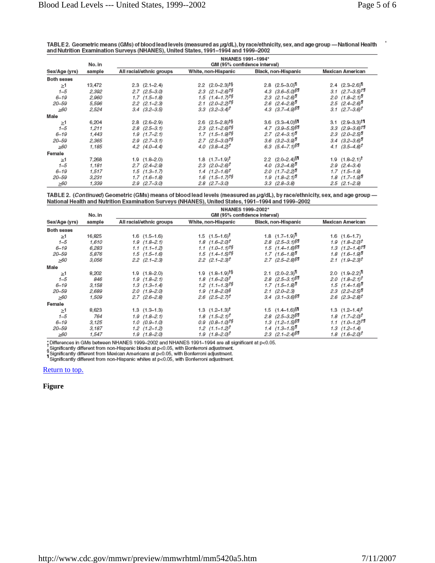TABLE 2. Geometric means (GMs) of blood lead levels (measured as µg/dL), by race/ethnicity, sex, and age group - National Health and Nutrition Examination Surveys (NHANES), United States, 1991-1994 and 1999-2002

|                   | No. in | NHANES 1991-1994*<br>GM (95% confidence interval) |                                   |                                 |                                       |
|-------------------|--------|---------------------------------------------------|-----------------------------------|---------------------------------|---------------------------------------|
| Sex/Age (yrs)     | sample | All racial/ethnic groups                          | White, non-Hispanic               | Black, non-Hispanic             | Mexican American                      |
| <b>Both sexes</b> |        |                                                   |                                   |                                 |                                       |
| ≥1                | 13,472 | $2.3$ $(2.1-2.4)$                                 | $2.2$ $(2.0-2.3)$ <sup>t§</sup>   | $2.8$ $(2.5-3.0)$ <sup>1</sup>  | $2.4$ $(2.3-2.6)$ <sup>1</sup>        |
| $1 - 5$           | 2,392  | $2.7$ $(2.5-3.0)$                                 | $2.3$ $(2.1 - 2.6)$ <sup>t§</sup> | 4.3 $(3.6 - 5.0)$ \$1           | $3.1 \quad (2.7 - 3.5)$ <sup>11</sup> |
| $6 - 19$          | 2,960  | $1.7$ $(1.5-1.8)$                                 | 1.5 $(1.4 - 1.7)^{10}$            | $2.3$ $(2.1 - 2.6)^{1}$         | 2.0 $(1.8-2.1)$ <sup>1</sup>          |
| 20–59             | 5,596  | $2.2$ $(2.1 - 2.3)$                               | $2.1$ (2.0-2.2) <sup>t§</sup>     | $2.6$ $(2.4-2.8)$ <sup>1</sup>  | 2.5 $(2.4 - 2.6)^T$                   |
| >60               | 2,524  | $3.4$ $(3.2-3.5)$                                 | $3.3$ $(3.2-3.4)^{\dagger}$       | 4.3 $(3.7 - 4.9)$ <sup>§</sup>  | $3.1 \ (2.7 - 3.6)^{\dagger}$         |
| Male              |        |                                                   |                                   |                                 |                                       |
| ≥1                | 6,204  | $2.8$ $(2.6-2.9)$                                 | $2.6$ $(2.5-2.8)$ <sup>t§</sup>   | $3.6$ $(3.3 - 4.0)$ $$1$        | $3.1$ $(2.9 - 3.3)$ <sup>11</sup>     |
| $1 - 5$           | 1,211  | $2.8$ $(2.5-3.1)$                                 | $2.3$ $(2.1 - 2.6)$ <sup>t§</sup> | $4.7$ $(3.9 - 5.5)$ $$$         | $3.3$ $(2.9 - 3.6)$ <sup>t</sup>      |
| $6 - 19$          | 1,443  | $1.9$ $(1.7-2.1)$                                 | $1.7$ $(1.5-1.9)$ <sup>t§</sup>   | $2.7$ $(2.4-3.1)$               | $2.3$ (2.0-2.5)                       |
| 20-59             | 2,365  | $2.9$ $(2.7-3.1)$                                 | $2.7$ (2.5-3.0) <sup>t§</sup>     | $3.6$ $(3.2 - 3.9)^7$           | $3.4$ $(3.2 - 3.6)^T$                 |
| >60               | 1,185  | $4.2$ $(4.0-4.4)$                                 | $4.0$ $(3.8-4.2)$ <sup>t</sup>    | 6.3 $(5.4 - 7.1)^{\$$\$}$       | 4.1 $(3.5-4.8)^{\dagger}$             |
| Female            |        |                                                   |                                   |                                 |                                       |
| $\geq$ 1          | 7.268  | $1.9$ $(1.8-2.0)$                                 | 1.8 $(1.7-1.9)^{\dagger}$         | $2.2$ $(2.0-2.4)$ <sup>51</sup> | 1.9 $(1.8-2.1)$ <sup>T</sup>          |
| $1 - 5$           | 1.181  | $2.7(2.4-2.9)$                                    | $2.3$ $(2.0 - 2.6)^{\dagger}$     | 4.0 $(3.2 - 4.8)^{T}$           | $2.9$ $(2.4-3.4)$                     |
| $6 - 19$          | 1,517  | $1.5$ $(1.3 - 1.7)$                               | $1.4$ $(1.2 - 1.6)^{\dagger}$     | $2.0$ (1.7-2.2)                 | $1.7$ $(1.5-1.9)$                     |
| 20–59             | 3,231  | $1.7$ $(1.6-1.8)$                                 | $1.6$ $(1.5 - 1.7)$ <sup>t§</sup> | $1.9$ $(1.8-2.1)$ <sup>1</sup>  | $1.8$ $(1.7-1.9)$ <sup>1</sup>        |
| >60               | 1,339  | $2.9$ $(2.7-3.0)$                                 | $2.8$ $(2.7-3.0)$                 | $3.3$ $(2.8-3.8)$               | $2.5$ $(2.1 - 2.9)$                   |

TABLE 2. (Continued) Geometric (GMs) means of blood lead levels (measured as µg/dL), by race/ethnicity, sex, and age group -National Health and Nutrition Examination Surveys (NHANES), United States, 1991-1994 and 1999-2002

|               |        | NHANES 1999-2002*            |                                   |                                  |                                   |  |
|---------------|--------|------------------------------|-----------------------------------|----------------------------------|-----------------------------------|--|
|               | No. in | GM (95% confidence interval) |                                   |                                  |                                   |  |
| Sex/Age (yrs) | sample | All racial/ethnic groups     | White, non-Hispanic               | Black, non-Hispanic              | Mexican American                  |  |
| Both sexes    |        |                              |                                   |                                  |                                   |  |
| >1            | 16,825 | $1.6$ $(1.5-1.6)$            | $1.5$ $(1.5-1.6)^{\dagger}$       | 1.8 $(1.7-1.9)$ <sup>11</sup>    | $1.6$ $(1.6-1.7)$                 |  |
| $1 - 5$       | 1,610  | $1.9(1.8-2.1)$               | $1.8$ $(1.6-2.0)$ <sup>t</sup>    | $2.8$ $(2.5-3.1)$ §1             | $1.9(1.8-2.0)^{\dagger}$          |  |
| $6 - 19$      | 6,283  | $1.1$ $(1.1 - 1.2)$          | $1.1$ $(1.0 - 1.1)$ <sup>t§</sup> | $1.5$ $(1.4 - 1.6)$ <sup>§</sup> | $1.3$ $(1.2 - 1.4)$ <sup>ti</sup> |  |
| 20-59         | 5,876  | $1.5$ $(1.5-1.6)$            | $1.5$ $(1.4 - 1.5)$ <sup>t§</sup> | $1.7$ $(1.6-1.8)$ <sup>1</sup>   | $1.8$ $(1.6-1.9)$ <sup>1</sup>    |  |
| >60           | 3,056  | $2.2$ $(2.1 - 2.3)$          | $2.2$ $(2.1 - 2.3)$ <sup>t</sup>  | $2.7$ (2.5-2.8) \$1              | $2.1(1.9-2.3)$ <sup>t</sup>       |  |
| Male          |        |                              |                                   |                                  |                                   |  |
| ≥1            | 8,202  | $1.9(1.8-2.0)$               | 1.9 $(1.8-1.9)$ <sup>t§</sup>     | $2.1$ $(2.0-2.3)$ <sup>11</sup>  | $2.0$ $(1.9-2.2)^{1}$             |  |
| $1 - 5$       | 846    | $1.9$ $(1.8-2.1)$            | $1.8$ $(1.6-2.0)^{\dagger}$       | 2.8 $(2.5-3.1)^{50}$             | $2.0$ $(1.8-2.1)^{\dagger}$       |  |
| $6 - 19$      | 3,158  | $1.3(1.3-1.4)$               | $1.2$ $(1.1 - 1.3)$ <sup>t§</sup> | $1.7$ $(1.5-1.8)^{T}$            | $1.5$ $(1.4-1.6)^{T}$             |  |
| 20-59         | 2,689  | $2.0(1.9-2.0)$               | $1.9$ $(1.8-2.0)$ §               | $2.1(2.0-2.3)$                   | $2.3$ $(2.2 - 2.5)$               |  |
| >60           | 1,509  | $2.7$ $(2.6-2.8)$            | $2.6$ (2.5-2.7) <sup>†</sup>      | $3.4$ $(3.1 - 3.6)\$             | $2.6$ (2.3-2.8) <sup>†</sup>      |  |
| Female        |        |                              |                                   |                                  |                                   |  |
| $\geq$ 1      | 8,623  | $1.3(1.3-1.3)$               | $1.3$ $(1.2 - 1.3)^{\dagger}$     | $1.5$ $(1.4-1.6)$ <sup>§</sup>   | $1.3$ $(1.2 - 1.4)^{\dagger}$     |  |
| $1 - 5$       | 764    | $1.9(1.8-2.1)$               | $1.8$ $(1.5-2.1)^{\dagger}$       | $2.8$ (2.5-3.2) \$1              | $1.8$ $(1.7-2.0)^{\dagger}$       |  |
| $6 - 19$      | 3,125  | $1.0(0.9-1.0)$               | $0.9$ $(0.8-1.0)$ <sup>t§</sup>   | $1.3$ $(1.2 - 1.5)^{50}$         | $1.1$ $(1.0 - 1.2)^{10}$          |  |
| 20-59         | 3,187  | $1.2$ $(1.2 - 1.2)$          | $1.2$ $(1.1 - 1.2)^T$             | $1.4$ $(1.3 - 1.5)^{T}$          | $1.3$ $(1.2 - 1.4)$               |  |
| >60           | 1,547  | $1.9(1.8-2.0)$               | $1.9(1.8-2.0)^{\dagger}$          | $2.3$ $(2.1 - 2.4)^{50}$         | $1.8$ $(1.6-2.0)^{\dagger}$       |  |

The Uniferences in GMs between NHANES 1999–2002 and NHANES 1991–1994 are all significant at p<0.05.<br>Significantly different from non-Hispanic blacks at p<0.05, with Bonferroni adjustment.<br>Significantly different from Mexi

#### Return to top.

**Figure**